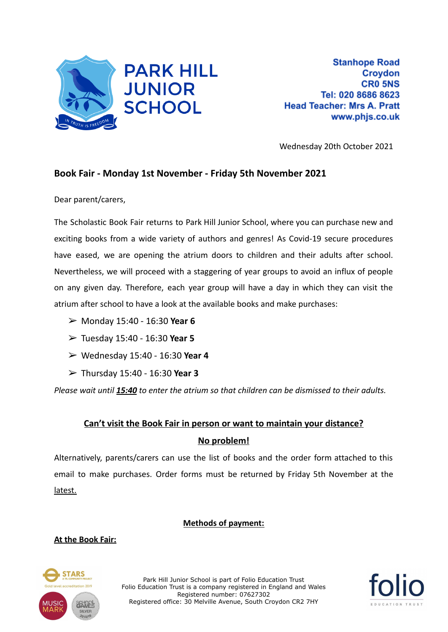

Wednesday 20th October 2021

## **Book Fair - Monday 1st November - Friday 5th November 2021**

Dear parent/carers,

The Scholastic Book Fair returns to Park Hill Junior School, where you can purchase new and exciting books from a wide variety of authors and genres! As Covid-19 secure procedures have eased, we are opening the atrium doors to children and their adults after school. Nevertheless, we will proceed with a staggering of year groups to avoid an influx of people on any given day. Therefore, each year group will have a day in which they can visit the atrium after school to have a look at the available books and make purchases:

- ➢ Monday 15:40 16:30 **Year 6**
- ➢ Tuesday 15:40 16:30 **Year 5**
- ➢ Wednesday 15:40 16:30 **Year 4**
- ➢ Thursday 15:40 16:30 **Year 3**

*Please wait until 15:40 to enter the atrium so that children can be dismissed to their adults.*

# **Can't visit the Book Fair in person or want to maintain your distance? No problem!**

Alternatively, parents/carers can use the list of books and the order form attached to this email to make purchases. Order forms must be returned by Friday 5th November at the latest.

#### **Methods of payment:**

### **At the Book Fair:**



Park Hill Junior School is part of Folio Education Trust Folio Education Trust is a company registered in England and Wales Registered number: 07627302 Registered office: 30 Melville Avenue, South Croydon CR2 7HY